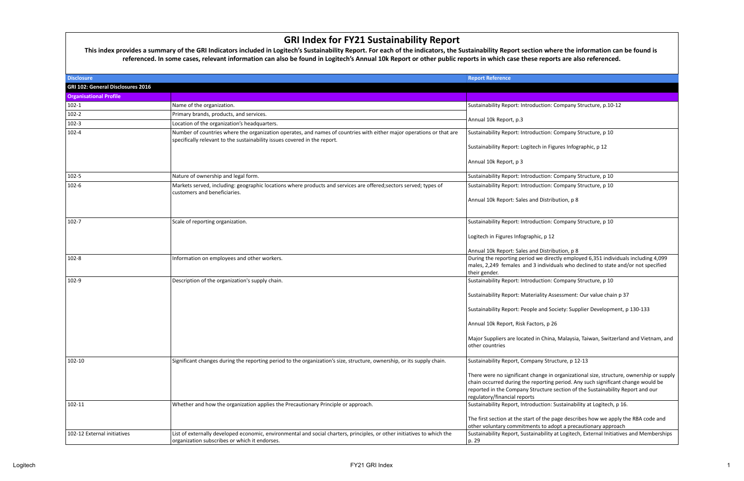## **GRI Index for FY21 Sustainability Report**

|                                   | <b>GRI Index for FY21 Sustainability Report</b><br>This index provides a summary of the GRI Indicators included in Logitech's Sustainability Report. For each of the indicators, the Sustainability Report section where the information can be found is<br>referenced. In some cases, relevant information can also be found in Logitech's Annual 10k Report or other public reports in which case these reports are also referenced. |                                                                                                                                                                                                                                                                                               |
|-----------------------------------|----------------------------------------------------------------------------------------------------------------------------------------------------------------------------------------------------------------------------------------------------------------------------------------------------------------------------------------------------------------------------------------------------------------------------------------|-----------------------------------------------------------------------------------------------------------------------------------------------------------------------------------------------------------------------------------------------------------------------------------------------|
| <b>Disclosure</b>                 |                                                                                                                                                                                                                                                                                                                                                                                                                                        | <b>Report Reference</b>                                                                                                                                                                                                                                                                       |
| GRI 102: General Disclosures 2016 |                                                                                                                                                                                                                                                                                                                                                                                                                                        |                                                                                                                                                                                                                                                                                               |
| <b>Organisational Profile</b>     |                                                                                                                                                                                                                                                                                                                                                                                                                                        |                                                                                                                                                                                                                                                                                               |
| $102-1$                           | Name of the organization.                                                                                                                                                                                                                                                                                                                                                                                                              | Sustainability Report: Introduction: Company Structure, p.10-12                                                                                                                                                                                                                               |
| $102 - 2$                         | Primary brands, products, and services.                                                                                                                                                                                                                                                                                                                                                                                                |                                                                                                                                                                                                                                                                                               |
| $102 - 3$                         | Location of the organization's headquarters.                                                                                                                                                                                                                                                                                                                                                                                           | Annual 10k Report, p.3                                                                                                                                                                                                                                                                        |
| $102 - 4$                         | Number of countries where the organization operates, and names of countries with either major operations or that are<br>specifically relevant to the sustainability issues covered in the report.                                                                                                                                                                                                                                      | Sustainability Report: Introduction: Company Structure, p 10                                                                                                                                                                                                                                  |
|                                   |                                                                                                                                                                                                                                                                                                                                                                                                                                        | Sustainability Report: Logitech in Figures Infographic, p 12                                                                                                                                                                                                                                  |
|                                   |                                                                                                                                                                                                                                                                                                                                                                                                                                        | Annual 10k Report, p 3                                                                                                                                                                                                                                                                        |
| $102 - 5$                         | Nature of ownership and legal form.                                                                                                                                                                                                                                                                                                                                                                                                    | Sustainability Report: Introduction: Company Structure, p 10                                                                                                                                                                                                                                  |
| $102 - 6$                         | Markets served, including: geographic locations where products and services are offered;sectors served; types of<br>customers and beneficiaries.                                                                                                                                                                                                                                                                                       | Sustainability Report: Introduction: Company Structure, p 10                                                                                                                                                                                                                                  |
|                                   |                                                                                                                                                                                                                                                                                                                                                                                                                                        | Annual 10k Report: Sales and Distribution, p 8                                                                                                                                                                                                                                                |
| $102 - 7$                         | Scale of reporting organization.                                                                                                                                                                                                                                                                                                                                                                                                       | Sustainability Report: Introduction: Company Structure, p 10                                                                                                                                                                                                                                  |
|                                   |                                                                                                                                                                                                                                                                                                                                                                                                                                        | Logitech in Figures Infographic, p 12                                                                                                                                                                                                                                                         |
|                                   |                                                                                                                                                                                                                                                                                                                                                                                                                                        | Annual 10k Report: Sales and Distribution, p 8                                                                                                                                                                                                                                                |
| $102 - 8$                         | Information on employees and other workers.                                                                                                                                                                                                                                                                                                                                                                                            | During the reporting period we directly employed 6,351 individuals including 4,099<br>males, 2,249 females and 3 individuals who declined to state and/or not specified<br>their gender.                                                                                                      |
| 102-9                             | Description of the organization's supply chain.                                                                                                                                                                                                                                                                                                                                                                                        | Sustainability Report: Introduction: Company Structure, p 10                                                                                                                                                                                                                                  |
|                                   |                                                                                                                                                                                                                                                                                                                                                                                                                                        | Sustainability Report: Materiality Assessment: Our value chain p 37                                                                                                                                                                                                                           |
|                                   |                                                                                                                                                                                                                                                                                                                                                                                                                                        | Sustainability Report: People and Society: Supplier Development, p 130-133                                                                                                                                                                                                                    |
|                                   |                                                                                                                                                                                                                                                                                                                                                                                                                                        | Annual 10k Report, Risk Factors, p 26                                                                                                                                                                                                                                                         |
|                                   |                                                                                                                                                                                                                                                                                                                                                                                                                                        | Major Suppliers are located in China, Malaysia, Taiwan, Switzerland and Vietnam, and<br>other countries                                                                                                                                                                                       |
| 102-10                            | Significant changes during the reporting period to the organization's size, structure, ownership, or its supply chain.                                                                                                                                                                                                                                                                                                                 | Sustainability Report, Company Structure, p 12-13                                                                                                                                                                                                                                             |
|                                   |                                                                                                                                                                                                                                                                                                                                                                                                                                        | There were no significant change in organizational size, structure, ownership or supply<br>chain occurred during the reporting period. Any such significant change would be<br>reported in the Company Structure section of the Sustainability Report and our<br>regulatory/financial reports |
| 102-11                            | Whether and how the organization applies the Precautionary Principle or approach.                                                                                                                                                                                                                                                                                                                                                      | Sustainability Report, Introduction: Sustainability at Logitech, p 16.                                                                                                                                                                                                                        |
|                                   |                                                                                                                                                                                                                                                                                                                                                                                                                                        | The first section at the start of the page describes how we apply the RBA code and<br>other voluntary commitments to adopt a precautionary approach                                                                                                                                           |
| 102-12 External initiatives       | List of externally developed economic, environmental and social charters, principles, or other initiatives to which the                                                                                                                                                                                                                                                                                                                | Sustainability Report, Sustainability at Logitech, External Initiatives and Memberships                                                                                                                                                                                                       |
|                                   | organization subscribes or which it endorses.                                                                                                                                                                                                                                                                                                                                                                                          | p. 29                                                                                                                                                                                                                                                                                         |

 $\mathsf{L}$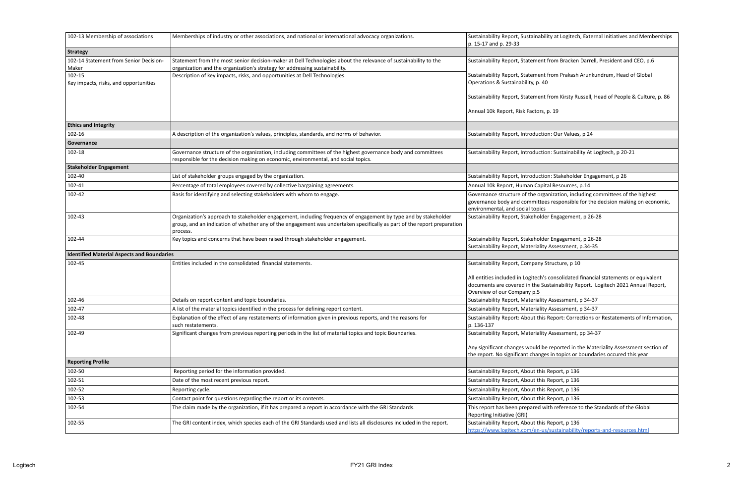| 102-13 Membership of associations                 | Memberships of industry or other associations, and national or international advocacy organizations.                                                                                                                                                   | Sustainability Report, Sustainability at Logitech, External Initiatives and Memberships<br>p. 15-17 and p. 29-33                                                                                       |
|---------------------------------------------------|--------------------------------------------------------------------------------------------------------------------------------------------------------------------------------------------------------------------------------------------------------|--------------------------------------------------------------------------------------------------------------------------------------------------------------------------------------------------------|
| <b>Strategy</b>                                   |                                                                                                                                                                                                                                                        |                                                                                                                                                                                                        |
| 102-14 Statement from Senior Decision-<br>Maker   | Statement from the most senior decision-maker at Dell Technologies about the relevance of sustainability to the<br>organization and the organization's strategy for addressing sustainability.                                                         | Sustainability Report, Statement from Bracken Darrell, President and CEO, p.6                                                                                                                          |
| 102-15<br>Key impacts, risks, and opportunities   | Description of key impacts, risks, and opportunities at Dell Technologies.                                                                                                                                                                             | Sustainability Report, Statement from Prakash Arunkundrum, Head of Global<br>Operations & Sustainability, p. 40                                                                                        |
|                                                   |                                                                                                                                                                                                                                                        | Sustainability Report, Statement from Kirsty Russell, Head of People & Culture, p. 86                                                                                                                  |
|                                                   |                                                                                                                                                                                                                                                        | Annual 10k Report, Risk Factors, p. 19                                                                                                                                                                 |
| <b>Ethics and Integrity</b>                       |                                                                                                                                                                                                                                                        |                                                                                                                                                                                                        |
| 102-16                                            | A description of the organization's values, principles, standards, and norms of behavior.                                                                                                                                                              | Sustainability Report, Introduction: Our Values, p 24                                                                                                                                                  |
| Governance                                        |                                                                                                                                                                                                                                                        |                                                                                                                                                                                                        |
| 102-18                                            | Governance structure of the organization, including committees of the highest governance body and committees<br>responsible for the decision making on economic, environmental, and social topics.                                                     | Sustainability Report, Introduction: Sustainability At Logitech, p 20-21                                                                                                                               |
| <b>Stakeholder Engagement</b>                     |                                                                                                                                                                                                                                                        |                                                                                                                                                                                                        |
| 102-40                                            | List of stakeholder groups engaged by the organization.                                                                                                                                                                                                | Sustainability Report, Introduction: Stakeholder Engagement, p 26                                                                                                                                      |
| 102-41                                            | Percentage of total employees covered by collective bargaining agreements.                                                                                                                                                                             | Annual 10k Report, Human Capital Resources, p.14                                                                                                                                                       |
| 102-42                                            | Basis for identifying and selecting stakeholders with whom to engage.                                                                                                                                                                                  | Governance structure of the organization, including committees of the highest<br>governance body and committees responsible for the decision making on economic,<br>environmental, and social topics   |
| 102-43                                            | Organization's approach to stakeholder engagement, including frequency of engagement by type and by stakeholder<br>group, and an indication of whether any of the engagement was undertaken specifically as part of the report preparation<br>process. | Sustainability Report, Stakeholder Engagement, p 26-28                                                                                                                                                 |
| 102-44                                            | Key topics and concerns that have been raised through stakeholder engagement.                                                                                                                                                                          | Sustainability Report, Stakeholder Engagement, p 26-28<br>Sustainability Report, Materiality Assessment, p.34-35                                                                                       |
| <b>Identified Material Aspects and Boundaries</b> |                                                                                                                                                                                                                                                        |                                                                                                                                                                                                        |
| 102-45                                            | Entities included in the consolidated financial statements.                                                                                                                                                                                            | Sustainability Report, Company Structure, p 10                                                                                                                                                         |
|                                                   |                                                                                                                                                                                                                                                        | All entities included in Logitech's consolidated financial statements or equivalent<br>documents are covered in the Sustainability Report. Logitech 2021 Annual Report,<br>Overview of our Company p.5 |
| 102-46                                            | Details on report content and topic boundaries.                                                                                                                                                                                                        | Sustainability Report, Materiality Assessment, p 34-37                                                                                                                                                 |
| 102-47                                            | A list of the material topics identified in the process for defining report content.                                                                                                                                                                   | Sustainability Report, Materiality Assessment, p 34-37                                                                                                                                                 |
| 102-48                                            | Explanation of the effect of any restatements of information given in previous reports, and the reasons for<br>such restatements.                                                                                                                      | Sustainability Report: About this Report: Corrections or Restatements of Information,<br>p. 136-137                                                                                                    |
| 102-49                                            | Significant changes from previous reporting periods in the list of material topics and topic Boundaries.                                                                                                                                               | Sustainability Report, Materiality Assessment, pp 34-37                                                                                                                                                |
|                                                   |                                                                                                                                                                                                                                                        | Any significant changes would be reported in the Materiality Assessment section of<br>the report. No significant changes in topics or boundaries occured this year                                     |
| <b>Reporting Profile</b>                          |                                                                                                                                                                                                                                                        |                                                                                                                                                                                                        |
| 102-50                                            | Reporting period for the information provided.                                                                                                                                                                                                         | Sustainability Report, About this Report, p 136                                                                                                                                                        |
| 102-51                                            | Date of the most recent previous report.                                                                                                                                                                                                               | Sustainability Report, About this Report, p 136                                                                                                                                                        |
| 102-52                                            | Reporting cycle.                                                                                                                                                                                                                                       | Sustainability Report, About this Report, p 136                                                                                                                                                        |
| 102-53                                            | Contact point for questions regarding the report or its contents.                                                                                                                                                                                      | Sustainability Report, About this Report, p 136                                                                                                                                                        |
| 102-54                                            | The claim made by the organization, if it has prepared a report in accordance with the GRI Standards.                                                                                                                                                  | This report has been prepared with reference to the Standards of the Global<br>Reporting Initiative (GRI)                                                                                              |
| 102-55                                            | The GRI content index, which species each of the GRI Standards used and lists all disclosures included in the report.                                                                                                                                  | Sustainability Report, About this Report, p 136<br>https://www.logitech.com/en-us/sustainability/reports-and-resources.html                                                                            |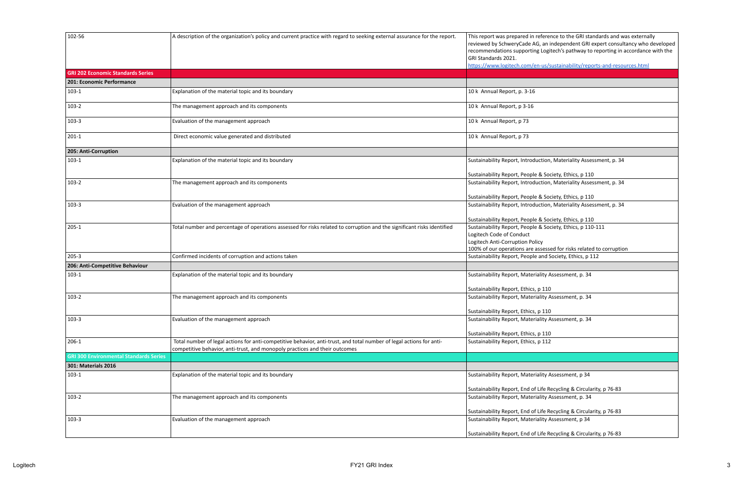| 102-56                                        | A description of the organization's policy and current practice with regard to seeking external assurance for the report.                                                                           | This report was prepared in reference to the GRI standards and was externally<br>reviewed by SchweryCade AG, an independent GRI expert consultancy who developed<br>recommendations supporting Logitech's pathway to reporting in accordance with the<br>GRI Standards 2021.<br>https://www.logitech.com/en-us/sustainability/reports-and-resources.html |
|-----------------------------------------------|-----------------------------------------------------------------------------------------------------------------------------------------------------------------------------------------------------|----------------------------------------------------------------------------------------------------------------------------------------------------------------------------------------------------------------------------------------------------------------------------------------------------------------------------------------------------------|
| <b>GRI 202 Economic Standards Series</b>      |                                                                                                                                                                                                     |                                                                                                                                                                                                                                                                                                                                                          |
| 201: Economic Performance                     |                                                                                                                                                                                                     |                                                                                                                                                                                                                                                                                                                                                          |
| $103-1$                                       | Explanation of the material topic and its boundary                                                                                                                                                  | 10 k Annual Report, p. 3-16                                                                                                                                                                                                                                                                                                                              |
| $103-2$                                       | The management approach and its components                                                                                                                                                          | 10 k Annual Report, p 3-16                                                                                                                                                                                                                                                                                                                               |
| $103-3$                                       | Evaluation of the management approach                                                                                                                                                               | 10 k Annual Report, p 73                                                                                                                                                                                                                                                                                                                                 |
| $201-1$                                       | Direct economic value generated and distributed                                                                                                                                                     | 10 k Annual Report, p 73                                                                                                                                                                                                                                                                                                                                 |
| 205: Anti-Corruption                          |                                                                                                                                                                                                     |                                                                                                                                                                                                                                                                                                                                                          |
| $103-1$                                       | Explanation of the material topic and its boundary                                                                                                                                                  | Sustainability Report, Introduction, Materiality Assessment, p. 34                                                                                                                                                                                                                                                                                       |
|                                               |                                                                                                                                                                                                     | Sustainability Report, People & Society, Ethics, p 110                                                                                                                                                                                                                                                                                                   |
| $103-2$                                       | The management approach and its components                                                                                                                                                          | Sustainability Report, Introduction, Materiality Assessment, p. 34                                                                                                                                                                                                                                                                                       |
|                                               |                                                                                                                                                                                                     | Sustainability Report, People & Society, Ethics, p 110                                                                                                                                                                                                                                                                                                   |
| $103-3$                                       | Evaluation of the management approach                                                                                                                                                               | Sustainability Report, Introduction, Materiality Assessment, p. 34                                                                                                                                                                                                                                                                                       |
| $205-1$                                       | Total number and percentage of operations assessed for risks related to corruption and the significant risks identified                                                                             | Sustainability Report, People & Society, Ethics, p 110<br>Sustainability Report, People & Society, Ethics, p 110-111                                                                                                                                                                                                                                     |
|                                               |                                                                                                                                                                                                     | Logitech Code of Conduct                                                                                                                                                                                                                                                                                                                                 |
|                                               |                                                                                                                                                                                                     | Logitech Anti-Corruption Policy                                                                                                                                                                                                                                                                                                                          |
|                                               |                                                                                                                                                                                                     | 100% of our operations are assessed for risks related to corruption                                                                                                                                                                                                                                                                                      |
| $205 - 3$                                     | Confirmed incidents of corruption and actions taken                                                                                                                                                 | Sustainability Report, People and Society, Ethics, p 112                                                                                                                                                                                                                                                                                                 |
| 206: Anti-Competitive Behaviour               |                                                                                                                                                                                                     |                                                                                                                                                                                                                                                                                                                                                          |
| $103-1$                                       | Explanation of the material topic and its boundary                                                                                                                                                  | Sustainability Report, Materiality Assessment, p. 34                                                                                                                                                                                                                                                                                                     |
|                                               |                                                                                                                                                                                                     |                                                                                                                                                                                                                                                                                                                                                          |
|                                               |                                                                                                                                                                                                     | Sustainability Report, Ethics, p 110                                                                                                                                                                                                                                                                                                                     |
| $103-2$                                       | The management approach and its components                                                                                                                                                          | Sustainability Report, Materiality Assessment, p. 34                                                                                                                                                                                                                                                                                                     |
|                                               |                                                                                                                                                                                                     | Sustainability Report, Ethics, p 110                                                                                                                                                                                                                                                                                                                     |
| $103-3$                                       | Evaluation of the management approach                                                                                                                                                               | Sustainability Report, Materiality Assessment, p. 34                                                                                                                                                                                                                                                                                                     |
|                                               |                                                                                                                                                                                                     | Sustainability Report, Ethics, p 110                                                                                                                                                                                                                                                                                                                     |
| $206-1$                                       | Total number of legal actions for anti-competitive behavior, anti-trust, and total number of legal actions for anti-<br>competitive behavior, anti-trust, and monopoly practices and their outcomes | Sustainability Report, Ethics, p 112                                                                                                                                                                                                                                                                                                                     |
| <b>GRI 300 Environmental Standards Series</b> |                                                                                                                                                                                                     |                                                                                                                                                                                                                                                                                                                                                          |
| 301: Materials 2016                           |                                                                                                                                                                                                     |                                                                                                                                                                                                                                                                                                                                                          |
| $103-1$                                       | Explanation of the material topic and its boundary                                                                                                                                                  | Sustainability Report, Materiality Assessment, p 34                                                                                                                                                                                                                                                                                                      |
|                                               |                                                                                                                                                                                                     | Sustainability Report, End of Life Recycling & Circularity, p 76-83                                                                                                                                                                                                                                                                                      |
| $103-2$                                       | The management approach and its components                                                                                                                                                          | Sustainability Report, Materiality Assessment, p. 34                                                                                                                                                                                                                                                                                                     |
|                                               |                                                                                                                                                                                                     | Sustainability Report, End of Life Recycling & Circularity, p 76-83                                                                                                                                                                                                                                                                                      |
| $103-3$                                       | Evaluation of the management approach                                                                                                                                                               | Sustainability Report, Materiality Assessment, p 34                                                                                                                                                                                                                                                                                                      |
|                                               |                                                                                                                                                                                                     | Sustainability Report, End of Life Recycling & Circularity, p 76-83                                                                                                                                                                                                                                                                                      |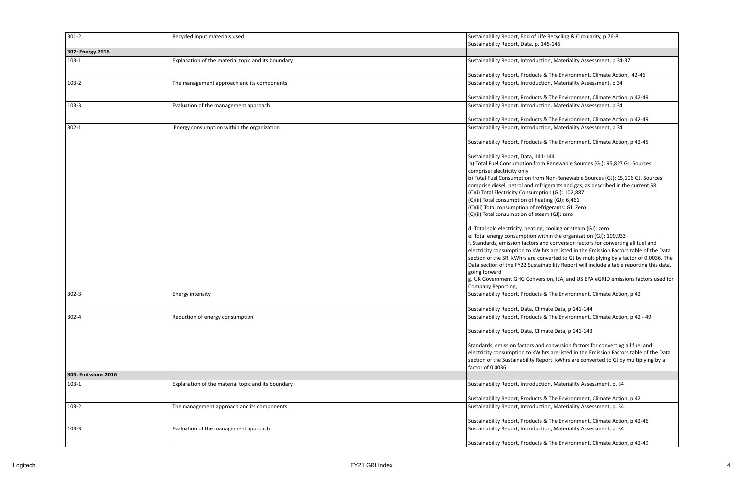| $301 - 2$           | Recycled input materials used                      | Sustainability Report, End of Life Recycling & Circularity, p 76-81                                                                             |
|---------------------|----------------------------------------------------|-------------------------------------------------------------------------------------------------------------------------------------------------|
|                     |                                                    | Sustainability Report, Data, p. 145-146                                                                                                         |
| 302: Energy 2016    |                                                    |                                                                                                                                                 |
| $103-1$             | Explanation of the material topic and its boundary | Sustainability Report, Introduction, Materiality Assessment, p 34-37                                                                            |
|                     |                                                    | Sustainability Report, Products & The Environment, Climate Action, 42-46                                                                        |
| $103-2$             | The management approach and its components         | Sustainability Report, Introduction, Materiality Assessment, p 34                                                                               |
|                     |                                                    | Sustainability Report, Products & The Environment, Climate Action, p 42-49                                                                      |
| $103-3$             | Evaluation of the management approach              | Sustainability Report, Introduction, Materiality Assessment, p 34                                                                               |
|                     |                                                    | Sustainability Report, Products & The Environment, Climate Action, p 42-49                                                                      |
| $302 - 1$           |                                                    |                                                                                                                                                 |
|                     | Energy consumption within the organization         | Sustainability Report, Introduction, Materiality Assessment, p 34<br>Sustainability Report, Products & The Environment, Climate Action, p 42-45 |
|                     |                                                    |                                                                                                                                                 |
|                     |                                                    | Sustainability Report, Data, 141-144                                                                                                            |
|                     |                                                    | a) Total Fuel Consumption from Renewable Sources (GJ): 95,827 GJ. Sources                                                                       |
|                     |                                                    | comprise: electricity only                                                                                                                      |
|                     |                                                    | b) Total Fuel Consumption from Non-Renewable Sources (GJ): 15,106 GJ. Sources                                                                   |
|                     |                                                    | comprise diesel, petrol and refrigerants and gas, as described in the current SR                                                                |
|                     |                                                    | (C)(i) Total Electricity Consumption (GJ): 102,887                                                                                              |
|                     |                                                    | $(C)(ii)$ Total consumption of heating (GJ): 6,461                                                                                              |
|                     |                                                    | (C)(iii) Total consumption of refrigerants: GJ: Zero                                                                                            |
|                     |                                                    | (C)(ii) Total consumption of steam (GJ): zero                                                                                                   |
|                     |                                                    | d. Total sold electricity, heating, cooling or steam (GJ): zero                                                                                 |
|                     |                                                    | e. Total energy consumption within the organization (GJ): 109,933                                                                               |
|                     |                                                    | f. Standards, emission factors and conversion factors for converting all fuel and                                                               |
|                     |                                                    | electricity consumption to kW hrs are listed in the Emission Factors table of the Data                                                          |
|                     |                                                    | section of the SR. kWhrs are converted to GJ by multiplying by a factor of 0.0036. The                                                          |
|                     |                                                    | Data section of the FY22 Sustainability Report will include a table reporting this data,                                                        |
|                     |                                                    | going forward                                                                                                                                   |
|                     |                                                    | g. UK Government GHG Conversion, IEA, and US EPA eGRID emissions factors used for                                                               |
|                     |                                                    | Company Reporting,                                                                                                                              |
| $302 - 3$           | Energy intensity                                   | Sustainability Report, Products & The Environment, Climate Action, p 42                                                                         |
|                     |                                                    | Sustainability Report, Data, Climate Data, p 141-144                                                                                            |
| $302 - 4$           | Reduction of energy consumption                    | Sustainability Report, Products & The Environment, Climate Action, p 42 - 49                                                                    |
|                     |                                                    | Sustainability Report, Data, Climate Data, p 141-143                                                                                            |
|                     |                                                    |                                                                                                                                                 |
|                     |                                                    | Standards, emission factors and conversion factors for converting all fuel and                                                                  |
|                     |                                                    | electricity consumption to kW hrs are listed in the Emission Factors table of the Data                                                          |
|                     |                                                    | section of the Sustainability Report. kWhrs are converted to GJ by multiplying by a                                                             |
|                     |                                                    | factor of 0.0036.                                                                                                                               |
| 305: Emissions 2016 |                                                    |                                                                                                                                                 |
| $103-1$             | Explanation of the material topic and its boundary | Sustainability Report, Introduction, Materiality Assessment, p. 34                                                                              |
|                     |                                                    | Sustainability Report, Products & The Environment, Climate Action, p 42                                                                         |
| $103-2$             | The management approach and its components         | Sustainability Report, Introduction, Materiality Assessment, p. 34                                                                              |
|                     |                                                    | Sustainability Report, Products & The Environment, Climate Action, p 42-46                                                                      |
| $103-3$             | Evaluation of the management approach              | Sustainability Report, Introduction, Materiality Assessment, p. 34                                                                              |
|                     |                                                    | Sustainability Report, Products & The Environment, Climate Action, p 42-49                                                                      |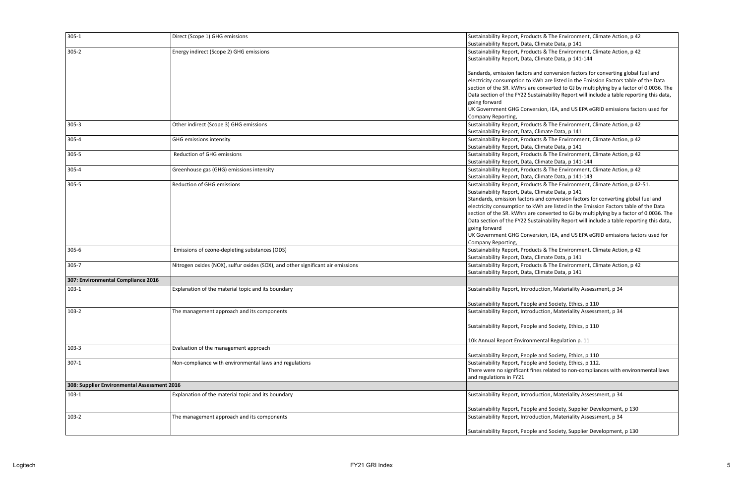| $305 - 1$                                   | Direct (Scope 1) GHG emissions                                                  | Sustainability Report, Products & The Environment, Climate Action, p 42                         |
|---------------------------------------------|---------------------------------------------------------------------------------|-------------------------------------------------------------------------------------------------|
|                                             |                                                                                 | Sustainability Report, Data, Climate Data, p 141                                                |
| $305 - 2$                                   | Energy indirect (Scope 2) GHG emissions                                         | Sustainability Report, Products & The Environment, Climate Action, p 42                         |
|                                             |                                                                                 | Sustainability Report, Data, Climate Data, p 141-144                                            |
|                                             |                                                                                 |                                                                                                 |
|                                             |                                                                                 | Sandards, emission factors and conversion factors for converting global fuel and                |
|                                             |                                                                                 | electricity consumption to kWh are listed in the Emission Factors table of the Data             |
|                                             |                                                                                 | section of the SR. kWhrs are converted to GJ by multiplying by a factor of 0.0036. The          |
|                                             |                                                                                 | Data section of the FY22 Sustainability Report will include a table reporting this data,        |
|                                             |                                                                                 | going forward<br>UK Government GHG Conversion, IEA, and US EPA eGRID emissions factors used for |
|                                             |                                                                                 | Company Reporting,                                                                              |
| $305 - 3$                                   | Other indirect (Scope 3) GHG emissions                                          | Sustainability Report, Products & The Environment, Climate Action, p 42                         |
|                                             |                                                                                 | Sustainability Report, Data, Climate Data, p 141                                                |
| 305-4                                       | <b>GHG emissions intensity</b>                                                  | Sustainability Report, Products & The Environment, Climate Action, p 42                         |
|                                             |                                                                                 | Sustainability Report, Data, Climate Data, p 141                                                |
| $305 - 5$                                   | <b>Reduction of GHG emissions</b>                                               | Sustainability Report, Products & The Environment, Climate Action, p 42                         |
|                                             |                                                                                 | Sustainability Report, Data, Climate Data, p 141-144                                            |
| $305 - 4$                                   | Greenhouse gas (GHG) emissions intensity                                        | Sustainability Report, Products & The Environment, Climate Action, p 42                         |
|                                             |                                                                                 | Sustainability Report, Data, Climate Data, p 141-143                                            |
| $305 - 5$                                   | Reduction of GHG emissions                                                      | Sustainability Report, Products & The Environment, Climate Action, p 42-51.                     |
|                                             |                                                                                 | Sustainability Report, Data, Climate Data, p 141                                                |
|                                             |                                                                                 | Standards, emission factors and conversion factors for converting global fuel and               |
|                                             |                                                                                 | electricity consumption to kWh are listed in the Emission Factors table of the Data             |
|                                             |                                                                                 | section of the SR. kWhrs are converted to GJ by multiplying by a factor of 0.0036. The          |
|                                             |                                                                                 | Data section of the FY22 Sustainability Report will include a table reporting this data,        |
|                                             |                                                                                 | going forward                                                                                   |
|                                             |                                                                                 | UK Government GHG Conversion, IEA, and US EPA eGRID emissions factors used for                  |
|                                             |                                                                                 | Company Reporting,                                                                              |
| $305 - 6$                                   | Emissions of ozone-depleting substances (ODS)                                   | Sustainability Report, Products & The Environment, Climate Action, p 42                         |
|                                             |                                                                                 | Sustainability Report, Data, Climate Data, p 141                                                |
| $305 - 7$                                   | Nitrogen oxides (NOX), sulfur oxides (SOX), and other significant air emissions | Sustainability Report, Products & The Environment, Climate Action, p 42                         |
|                                             |                                                                                 | Sustainability Report, Data, Climate Data, p 141                                                |
| 307: Environmental Compliance 2016          |                                                                                 |                                                                                                 |
| $103-1$                                     | Explanation of the material topic and its boundary                              | Sustainability Report, Introduction, Materiality Assessment, p 34                               |
|                                             |                                                                                 |                                                                                                 |
|                                             |                                                                                 | Sustainability Report, People and Society, Ethics, p 110                                        |
| $103-2$                                     | The management approach and its components                                      | Sustainability Report, Introduction, Materiality Assessment, p 34                               |
|                                             |                                                                                 |                                                                                                 |
|                                             |                                                                                 | Sustainability Report, People and Society, Ethics, p 110                                        |
|                                             |                                                                                 |                                                                                                 |
|                                             |                                                                                 | 10k Annual Report Environmental Regulation p. 11                                                |
| $103-3$                                     | Evaluation of the management approach                                           |                                                                                                 |
|                                             |                                                                                 | Sustainability Report, People and Society, Ethics, p 110                                        |
| $307-1$                                     | Non-compliance with environmental laws and regulations                          | Sustainability Report, People and Society, Ethics, p 112.                                       |
|                                             |                                                                                 | There were no significant fines related to non-compliances with environmental laws              |
|                                             |                                                                                 | and regulations in FY21                                                                         |
| 308: Supplier Environmental Assessment 2016 |                                                                                 |                                                                                                 |
| $103-1$                                     | Explanation of the material topic and its boundary                              | Sustainability Report, Introduction, Materiality Assessment, p 34                               |
|                                             |                                                                                 |                                                                                                 |
|                                             |                                                                                 | Sustainability Report, People and Society, Supplier Development, p 130                          |
| $103 - 2$                                   | The management approach and its components                                      | Sustainability Report, Introduction, Materiality Assessment, p 34                               |
|                                             |                                                                                 |                                                                                                 |
|                                             |                                                                                 | Sustainability Report, People and Society, Supplier Development, p 130                          |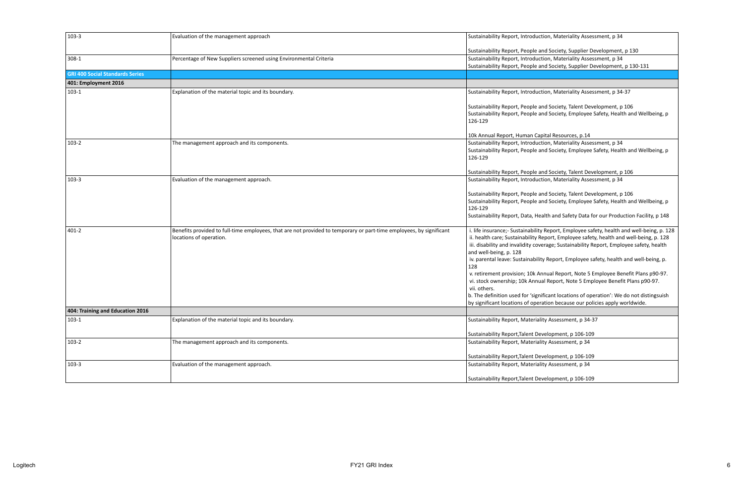| $103-3$                                | Evaluation of the management approach                                                                               | Sustainability Report, Introduction, Materiality Assessment, p 34                                                                               |
|----------------------------------------|---------------------------------------------------------------------------------------------------------------------|-------------------------------------------------------------------------------------------------------------------------------------------------|
|                                        |                                                                                                                     |                                                                                                                                                 |
| $308-1$                                |                                                                                                                     | Sustainability Report, People and Society, Supplier Development, p 130                                                                          |
|                                        | Percentage of New Suppliers screened using Environmental Criteria                                                   | Sustainability Report, Introduction, Materiality Assessment, p 34<br>Sustainability Report, People and Society, Supplier Development, p 130-131 |
| <b>GRI 400 Social Standards Series</b> |                                                                                                                     |                                                                                                                                                 |
|                                        |                                                                                                                     |                                                                                                                                                 |
| 401: Employment 2016                   |                                                                                                                     |                                                                                                                                                 |
| $103-1$                                | Explanation of the material topic and its boundary.                                                                 | Sustainability Report, Introduction, Materiality Assessment, p 34-37                                                                            |
|                                        |                                                                                                                     | Sustainability Report, People and Society, Talent Development, p 106                                                                            |
|                                        |                                                                                                                     | Sustainability Report, People and Society, Employee Safety, Health and Wellbeing, p                                                             |
|                                        |                                                                                                                     | 126-129                                                                                                                                         |
|                                        |                                                                                                                     |                                                                                                                                                 |
|                                        |                                                                                                                     | 10k Annual Report, Human Capital Resources, p.14                                                                                                |
| $103-2$                                | The management approach and its components.                                                                         | Sustainability Report, Introduction, Materiality Assessment, p 34                                                                               |
|                                        |                                                                                                                     | Sustainability Report, People and Society, Employee Safety, Health and Wellbeing, p                                                             |
|                                        |                                                                                                                     | 126-129                                                                                                                                         |
|                                        |                                                                                                                     | Sustainability Report, People and Society, Talent Development, p 106                                                                            |
| $103-3$                                | Evaluation of the management approach.                                                                              | Sustainability Report, Introduction, Materiality Assessment, p 34                                                                               |
|                                        |                                                                                                                     |                                                                                                                                                 |
|                                        |                                                                                                                     | Sustainability Report, People and Society, Talent Development, p 106                                                                            |
|                                        |                                                                                                                     | Sustainability Report, People and Society, Employee Safety, Health and Wellbeing, p                                                             |
|                                        |                                                                                                                     | 126-129                                                                                                                                         |
|                                        |                                                                                                                     | Sustainability Report, Data, Health and Safety Data for our Production Facility, p 148                                                          |
|                                        |                                                                                                                     |                                                                                                                                                 |
| 401-2                                  | Benefits provided to full-time employees, that are not provided to temporary or part-time employees, by significant | i. life insurance;- Sustainability Report, Employee safety, health and well-being, p. 128                                                       |
|                                        | locations of operation.                                                                                             | ii. health care; Sustainability Report, Employee safety, health and well-being, p. 128                                                          |
|                                        |                                                                                                                     | iii. disability and invalidity coverage; Sustainability Report, Employee safety, health                                                         |
|                                        |                                                                                                                     | and well-being, p. 128                                                                                                                          |
|                                        |                                                                                                                     | iv. parental leave: Sustainability Report, Employee safety, health and well-being, p.<br>128                                                    |
|                                        |                                                                                                                     | v. retirement provision; 10k Annual Report, Note 5 Employee Benefit Plans p90-97.                                                               |
|                                        |                                                                                                                     | vi. stock ownership; 10k Annual Report, Note 5 Employee Benefit Plans p90-97.                                                                   |
|                                        |                                                                                                                     | vii. others.                                                                                                                                    |
|                                        |                                                                                                                     | b. The definition used for 'significant locations of operation': We do not distingsuish                                                         |
|                                        |                                                                                                                     | by significant locations of operation because our policies apply worldwide.                                                                     |
| 404: Training and Education 2016       |                                                                                                                     |                                                                                                                                                 |
| $103-1$                                | Explanation of the material topic and its boundary.                                                                 | Sustainability Report, Materiality Assessment, p 34-37                                                                                          |
|                                        |                                                                                                                     |                                                                                                                                                 |
|                                        |                                                                                                                     | Sustainability Report, Talent Development, p 106-109                                                                                            |
| $103-2$                                | The management approach and its components.                                                                         | Sustainability Report, Materiality Assessment, p 34                                                                                             |
|                                        |                                                                                                                     |                                                                                                                                                 |
|                                        |                                                                                                                     | Sustainability Report, Talent Development, p 106-109                                                                                            |
| $103-3$                                | Evaluation of the management approach.                                                                              | Sustainability Report, Materiality Assessment, p 34                                                                                             |
|                                        |                                                                                                                     |                                                                                                                                                 |
|                                        |                                                                                                                     | Sustainability Report, Talent Development, p 106-109                                                                                            |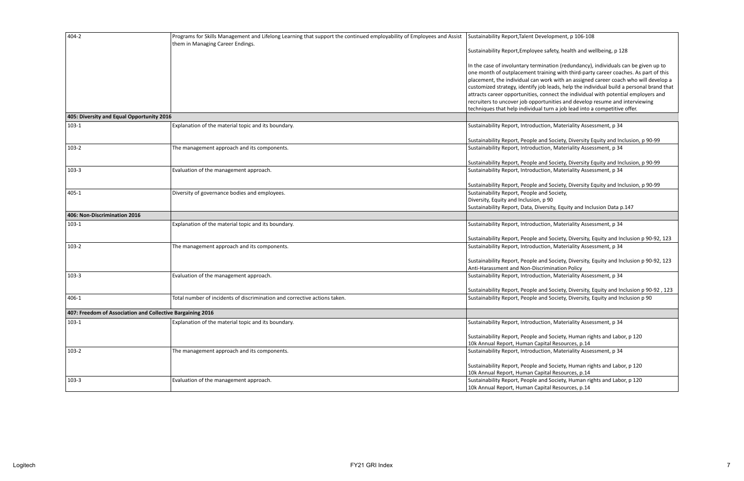| 404-2                                                      | Programs for Skills Management and Lifelong Learning that support the continued employability of Employees and Assist<br>them in Managing Career Endings. | Sustainability Report, Talent Development, p 106-108                                     |
|------------------------------------------------------------|-----------------------------------------------------------------------------------------------------------------------------------------------------------|------------------------------------------------------------------------------------------|
|                                                            |                                                                                                                                                           | Sustainability Report, Employee safety, health and wellbeing, p 128                      |
|                                                            |                                                                                                                                                           | In the case of involuntary termination (redundancy), individuals can be given up to      |
|                                                            |                                                                                                                                                           | one month of outplacement training with third-party career coaches. As part of this      |
|                                                            |                                                                                                                                                           | placement, the individual can work with an assigned career coach who will develop a      |
|                                                            |                                                                                                                                                           | customized strategy, identify job leads, help the individual build a personal brand that |
|                                                            |                                                                                                                                                           | attracts career opportunities, connect the individual with potential employers and       |
|                                                            |                                                                                                                                                           | recruiters to uncover job opportunities and develop resume and interviewing              |
|                                                            |                                                                                                                                                           | techniques that help individual turn a job lead into a competitive offer.                |
| 405: Diversity and Equal Opportunity 2016                  |                                                                                                                                                           |                                                                                          |
| $103-1$                                                    | Explanation of the material topic and its boundary.                                                                                                       | Sustainability Report, Introduction, Materiality Assessment, p 34                        |
|                                                            |                                                                                                                                                           | Sustainability Report, People and Society, Diversity Equity and Inclusion, p 90-99       |
| $103-2$                                                    | The management approach and its components.                                                                                                               | Sustainability Report, Introduction, Materiality Assessment, p 34                        |
|                                                            |                                                                                                                                                           | Sustainability Report, People and Society, Diversity Equity and Inclusion, p 90-99       |
| $103-3$                                                    | Evaluation of the management approach.                                                                                                                    | Sustainability Report, Introduction, Materiality Assessment, p 34                        |
|                                                            |                                                                                                                                                           | Sustainability Report, People and Society, Diversity Equity and Inclusion, p 90-99       |
| 405-1                                                      | Diversity of governance bodies and employees.                                                                                                             | Sustainability Report, People and Society,                                               |
|                                                            |                                                                                                                                                           | Diversity, Equity and Inclusion, p 90                                                    |
|                                                            |                                                                                                                                                           | Sustainability Report, Data, Diversity, Equity and Inclusion Data p.147                  |
| 406: Non-Discrimination 2016                               |                                                                                                                                                           |                                                                                          |
| $103-1$                                                    | Explanation of the material topic and its boundary.                                                                                                       | Sustainability Report, Introduction, Materiality Assessment, p 34                        |
|                                                            |                                                                                                                                                           | Sustainability Report, People and Society, Diversity, Equity and Inclusion p 90-92, 123  |
| $103-2$                                                    | The management approach and its components.                                                                                                               | Sustainability Report, Introduction, Materiality Assessment, p 34                        |
|                                                            |                                                                                                                                                           | Sustainability Report, People and Society, Diversity, Equity and Inclusion p 90-92, 123  |
|                                                            |                                                                                                                                                           | Anti-Harassment and Non-Discrimination Policy                                            |
| $103-3$                                                    | Evaluation of the management approach.                                                                                                                    | Sustainability Report, Introduction, Materiality Assessment, p 34                        |
|                                                            |                                                                                                                                                           | Sustainability Report, People and Society, Diversity, Equity and Inclusion p 90-92, 123  |
| 406-1                                                      | Total number of incidents of discrimination and corrective actions taken.                                                                                 | Sustainability Report, People and Society, Diversity, Equity and Inclusion p 90          |
| 407: Freedom of Association and Collective Bargaining 2016 |                                                                                                                                                           |                                                                                          |
| $103-1$                                                    | Explanation of the material topic and its boundary.                                                                                                       | Sustainability Report, Introduction, Materiality Assessment, p 34                        |
|                                                            |                                                                                                                                                           |                                                                                          |
|                                                            |                                                                                                                                                           | Sustainability Report, People and Society, Human rights and Labor, p 120                 |
|                                                            |                                                                                                                                                           | 10k Annual Report, Human Capital Resources, p.14                                         |
| $103 - 2$                                                  | The management approach and its components.                                                                                                               | Sustainability Report, Introduction, Materiality Assessment, p 34                        |
|                                                            |                                                                                                                                                           | Sustainability Report, People and Society, Human rights and Labor, p 120                 |
|                                                            |                                                                                                                                                           | 10k Annual Report, Human Capital Resources, p.14                                         |
| $103-3$                                                    | Evaluation of the management approach.                                                                                                                    | Sustainability Report, People and Society, Human rights and Labor, p 120                 |
|                                                            |                                                                                                                                                           | 10k Annual Report, Human Capital Resources, p.14                                         |
|                                                            |                                                                                                                                                           |                                                                                          |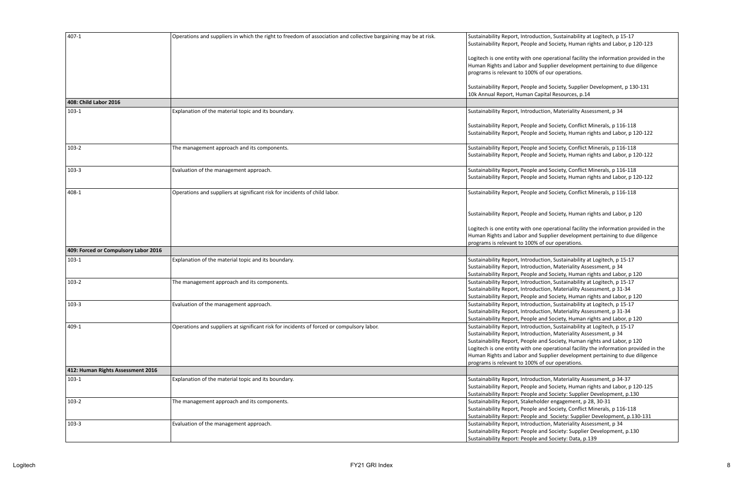| 407-1                                | Operations and suppliers in which the right to freedom of association and collective bargaining may be at risk. | Sustainability Report, Introduction, Sustainability at Logitech, p 15-17<br>Sustainability Report, People and Society, Human rights and Labor, p 120-123                                                                                                                                                                                                                                                                                            |
|--------------------------------------|-----------------------------------------------------------------------------------------------------------------|-----------------------------------------------------------------------------------------------------------------------------------------------------------------------------------------------------------------------------------------------------------------------------------------------------------------------------------------------------------------------------------------------------------------------------------------------------|
|                                      |                                                                                                                 | Logitech is one entity with one operational facility the information provided in the<br>Human Rights and Labor and Supplier development pertaining to due diligence<br>programs is relevant to 100% of our operations.                                                                                                                                                                                                                              |
|                                      |                                                                                                                 | Sustainability Report, People and Society, Supplier Development, p 130-131<br>10k Annual Report, Human Capital Resources, p.14                                                                                                                                                                                                                                                                                                                      |
| 408: Child Labor 2016                |                                                                                                                 |                                                                                                                                                                                                                                                                                                                                                                                                                                                     |
| $103-1$                              | Explanation of the material topic and its boundary.                                                             | Sustainability Report, Introduction, Materiality Assessment, p 34                                                                                                                                                                                                                                                                                                                                                                                   |
|                                      |                                                                                                                 | Sustainability Report, People and Society, Conflict Minerals, p 116-118<br>Sustainability Report, People and Society, Human rights and Labor, p 120-122                                                                                                                                                                                                                                                                                             |
| $103-2$                              | The management approach and its components.                                                                     | Sustainability Report, People and Society, Conflict Minerals, p 116-118<br>Sustainability Report, People and Society, Human rights and Labor, p 120-122                                                                                                                                                                                                                                                                                             |
| $103-3$                              | Evaluation of the management approach.                                                                          | Sustainability Report, People and Society, Conflict Minerals, p 116-118<br>Sustainability Report, People and Society, Human rights and Labor, p 120-122                                                                                                                                                                                                                                                                                             |
| 408-1                                | Operations and suppliers at significant risk for incidents of child labor.                                      | Sustainability Report, People and Society, Conflict Minerals, p 116-118                                                                                                                                                                                                                                                                                                                                                                             |
|                                      |                                                                                                                 | Sustainability Report, People and Society, Human rights and Labor, p 120                                                                                                                                                                                                                                                                                                                                                                            |
|                                      |                                                                                                                 | Logitech is one entity with one operational facility the information provided in the<br>Human Rights and Labor and Supplier development pertaining to due diligence                                                                                                                                                                                                                                                                                 |
| 409: Forced or Compulsory Labor 2016 |                                                                                                                 | programs is relevant to 100% of our operations.                                                                                                                                                                                                                                                                                                                                                                                                     |
| $103-1$                              | Explanation of the material topic and its boundary.                                                             | Sustainability Report, Introduction, Sustainability at Logitech, p 15-17                                                                                                                                                                                                                                                                                                                                                                            |
|                                      |                                                                                                                 | Sustainability Report, Introduction, Materiality Assessment, p 34<br>Sustainability Report, People and Society, Human rights and Labor, p 120                                                                                                                                                                                                                                                                                                       |
| $103-2$                              | The management approach and its components.                                                                     | Sustainability Report, Introduction, Sustainability at Logitech, p 15-17<br>Sustainability Report, Introduction, Materiality Assessment, p 31-34<br>Sustainability Report, People and Society, Human rights and Labor, p 120                                                                                                                                                                                                                        |
| 103-3                                | Evaluation of the management approach.                                                                          | Sustainability Report, Introduction, Sustainability at Logitech, p 15-17                                                                                                                                                                                                                                                                                                                                                                            |
|                                      |                                                                                                                 | Sustainability Report, Introduction, Materiality Assessment, p 31-34<br>Sustainability Report, People and Society, Human rights and Labor, p 120                                                                                                                                                                                                                                                                                                    |
| 409-1                                | Operations and suppliers at significant risk for incidents of forced or compulsory labor.                       | Sustainability Report, Introduction, Sustainability at Logitech, p 15-17<br>Sustainability Report, Introduction, Materiality Assessment, p 34<br>Sustainability Report, People and Society, Human rights and Labor, p 120<br>Logitech is one entity with one operational facility the information provided in the<br>Human Rights and Labor and Supplier development pertaining to due diligence<br>programs is relevant to 100% of our operations. |
| 412: Human Rights Assessment 2016    |                                                                                                                 |                                                                                                                                                                                                                                                                                                                                                                                                                                                     |
| $103-1$                              | Explanation of the material topic and its boundary.                                                             | Sustainability Report, Introduction, Materiality Assessment, p 34-37<br>Sustainability Report, People and Society, Human rights and Labor, p 120-125<br>Sustainability Report: People and Society: Supplier Development, p.130                                                                                                                                                                                                                      |
| $103-2$                              | The management approach and its components.                                                                     | Sustainability Report, Stakeholder engagement, p 28, 30-31<br>Sustainability Report, People and Society, Conflict Minerals, p 116-118<br>Sustainability Report: People and Society: Supplier Development, p.130-131                                                                                                                                                                                                                                 |
| $103-3$                              | Evaluation of the management approach.                                                                          | Sustainability Report, Introduction, Materiality Assessment, p 34<br>Sustainability Report: People and Society: Supplier Development, p.130<br>Sustainability Report: People and Society: Data, p.139                                                                                                                                                                                                                                               |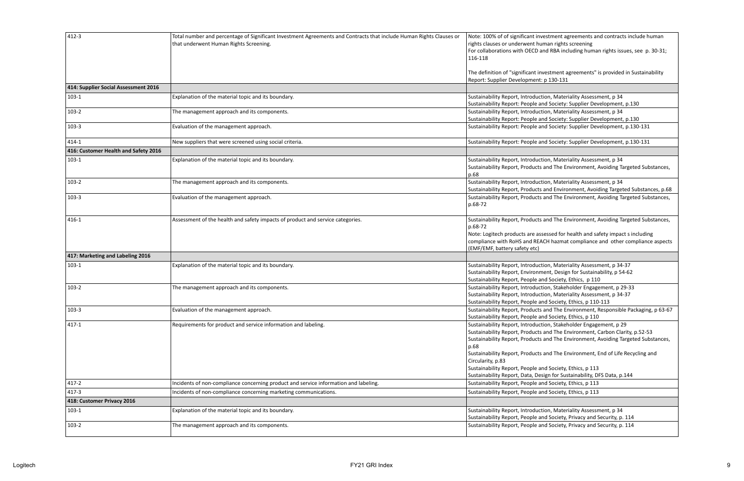| $412 - 3$                            | Total number and percentage of Significant Investment Agreements and Contracts that include Human Rights Clauses or<br>that underwent Human Rights Screening. | Note: 100% of of significant investment agreements and contracts include human<br>rights clauses or underwent human rights screening<br>For collaborations with OECD and RBA including human rights issues, see p. 30-31;<br>116-118                                                                                                                                                                                                                                                          |
|--------------------------------------|---------------------------------------------------------------------------------------------------------------------------------------------------------------|-----------------------------------------------------------------------------------------------------------------------------------------------------------------------------------------------------------------------------------------------------------------------------------------------------------------------------------------------------------------------------------------------------------------------------------------------------------------------------------------------|
|                                      |                                                                                                                                                               | The definition of "significant investment agreements" is provided in Sustainability<br>Report: Supplier Development: p 130-131                                                                                                                                                                                                                                                                                                                                                                |
| 414: Supplier Social Assessment 2016 |                                                                                                                                                               |                                                                                                                                                                                                                                                                                                                                                                                                                                                                                               |
| $103-1$                              | Explanation of the material topic and its boundary.                                                                                                           | Sustainability Report, Introduction, Materiality Assessment, p 34<br>Sustainability Report: People and Society: Supplier Development, p.130                                                                                                                                                                                                                                                                                                                                                   |
| $103-2$                              | The management approach and its components.                                                                                                                   | Sustainability Report, Introduction, Materiality Assessment, p 34<br>Sustainability Report: People and Society: Supplier Development, p.130                                                                                                                                                                                                                                                                                                                                                   |
| $103-3$                              | Evaluation of the management approach.                                                                                                                        | Sustainability Report: People and Society: Supplier Development, p.130-131                                                                                                                                                                                                                                                                                                                                                                                                                    |
| $414 - 1$                            | New suppliers that were screened using social criteria.                                                                                                       | Sustainability Report: People and Society: Supplier Development, p.130-131                                                                                                                                                                                                                                                                                                                                                                                                                    |
| 416: Customer Health and Safety 2016 |                                                                                                                                                               |                                                                                                                                                                                                                                                                                                                                                                                                                                                                                               |
| $103-1$                              | Explanation of the material topic and its boundary.                                                                                                           | Sustainability Report, Introduction, Materiality Assessment, p 34<br>Sustainability Report, Products and The Environment, Avoiding Targeted Substances,<br>p.68                                                                                                                                                                                                                                                                                                                               |
| $103-2$                              | The management approach and its components.                                                                                                                   | Sustainability Report, Introduction, Materiality Assessment, p 34<br>Sustainability Report, Products and Environment, Avoiding Targeted Substances, p.68                                                                                                                                                                                                                                                                                                                                      |
| $103-3$                              | Evaluation of the management approach.                                                                                                                        | Sustainability Report, Products and The Environment, Avoiding Targeted Substances,<br>p.68-72                                                                                                                                                                                                                                                                                                                                                                                                 |
| 416-1                                | Assessment of the health and safety impacts of product and service categories.                                                                                | Sustainability Report, Products and The Environment, Avoiding Targeted Substances,<br>p.68-72<br>Note: Logitech products are assessed for health and safety impact s including<br>compliance with RoHS and REACH hazmat compliance and other compliance aspects<br>(EMF/EMF, battery safety etc)                                                                                                                                                                                              |
| 417: Marketing and Labeling 2016     |                                                                                                                                                               |                                                                                                                                                                                                                                                                                                                                                                                                                                                                                               |
| $103-1$                              | Explanation of the material topic and its boundary.                                                                                                           | Sustainability Report, Introduction, Materiality Assessment, p 34-37<br>Sustainability Report, Environment, Design for Sustainability, p 54-62<br>Sustainability Report, People and Society, Ethics, p 110                                                                                                                                                                                                                                                                                    |
| $103-2$                              | The management approach and its components.                                                                                                                   | Sustainability Report, Introduction, Stakeholder Engagement, p 29-33<br>Sustainability Report, Introduction, Materiality Assessment, p 34-37<br>Sustainability Report, People and Society, Ethics, p 110-113                                                                                                                                                                                                                                                                                  |
| $103 - 3$                            | Evaluation of the management approach.                                                                                                                        | Sustainability Report, Products and The Environment, Responsible Packaging, p 63-67<br>Sustainability Report, People and Society, Ethics, p 110                                                                                                                                                                                                                                                                                                                                               |
| $417 - 1$                            | Requirements for product and service information and labeling.                                                                                                | Sustainability Report, Introduction, Stakeholder Engagement, p 29<br>Sustainability Report, Products and The Environment, Carbon Clarity, p.52-53<br>Sustainability Report, Products and The Environment, Avoiding Targeted Substances,<br>p.68<br>Sustainability Report, Products and The Environment, End of Life Recycling and<br>Circularity, p.83<br>Sustainability Report, People and Society, Ethics, p 113<br>Sustainability Report, Data, Design for Sustainability, DFS Data, p.144 |
| $417 - 2$                            | Incidents of non-compliance concerning product and service information and labeling.                                                                          | Sustainability Report, People and Society, Ethics, p 113                                                                                                                                                                                                                                                                                                                                                                                                                                      |
| $417 - 3$                            | Incidents of non-compliance concerning marketing communications.                                                                                              | Sustainability Report, People and Society, Ethics, p 113                                                                                                                                                                                                                                                                                                                                                                                                                                      |
| 418: Customer Privacy 2016           |                                                                                                                                                               |                                                                                                                                                                                                                                                                                                                                                                                                                                                                                               |
| $103-1$                              | Explanation of the material topic and its boundary.                                                                                                           | Sustainability Report, Introduction, Materiality Assessment, p 34<br>Sustainability Report, People and Society, Privacy and Security, p. 114                                                                                                                                                                                                                                                                                                                                                  |
| $103-2$                              | The management approach and its components.                                                                                                                   | Sustainability Report, People and Society, Privacy and Security, p. 114                                                                                                                                                                                                                                                                                                                                                                                                                       |

| Note: 100% of of significant investment agreements and contracts include human<br>rights clauses or underwent human rights screening<br>For collaborations with OECD and RBA including human rights issues, see p. 30-31;<br>116-118 |
|--------------------------------------------------------------------------------------------------------------------------------------------------------------------------------------------------------------------------------------|
| The definition of "significant investment agreements" is provided in Sustainability<br>Report: Supplier Development: p 130-131                                                                                                       |
|                                                                                                                                                                                                                                      |
| Sustainability Report, Introduction, Materiality Assessment, p 34                                                                                                                                                                    |
| Sustainability Report: People and Society: Supplier Development, p.130                                                                                                                                                               |
| Sustainability Report, Introduction, Materiality Assessment, p 34                                                                                                                                                                    |
| Sustainability Report: People and Society: Supplier Development, p.130                                                                                                                                                               |
| Sustainability Report: People and Society: Supplier Development, p.130-131                                                                                                                                                           |
| Sustainability Report: People and Society: Supplier Development, p.130-131                                                                                                                                                           |
|                                                                                                                                                                                                                                      |
| Sustainability Report, Introduction, Materiality Assessment, p 34                                                                                                                                                                    |
| Sustainability Report, Products and The Environment, Avoiding Targeted Substances,<br>p.68                                                                                                                                           |
| Sustainability Report, Introduction, Materiality Assessment, p 34                                                                                                                                                                    |
| Sustainability Report, Products and Environment, Avoiding Targeted Substances, p.68                                                                                                                                                  |
| Sustainability Report, Products and The Environment, Avoiding Targeted Substances,                                                                                                                                                   |
| p.68-72                                                                                                                                                                                                                              |
| Sustainability Report, Products and The Environment, Avoiding Targeted Substances,                                                                                                                                                   |
| p.68-72                                                                                                                                                                                                                              |
| Note: Logitech products are assessed for health and safety impact s including                                                                                                                                                        |
| compliance with RoHS and REACH hazmat compliance and other compliance aspects<br>(EMF/EMF, battery safety etc)                                                                                                                       |
|                                                                                                                                                                                                                                      |
| Sustainability Report, Introduction, Materiality Assessment, p 34-37                                                                                                                                                                 |
| Sustainability Report, Environment, Design for Sustainability, p 54-62                                                                                                                                                               |
| Sustainability Report, People and Society, Ethics, p 110                                                                                                                                                                             |
| Sustainability Report, Introduction, Stakeholder Engagement, p 29-33                                                                                                                                                                 |
| Sustainability Report, Introduction, Materiality Assessment, p 34-37                                                                                                                                                                 |
| Sustainability Report, People and Society, Ethics, p 110-113                                                                                                                                                                         |
| Sustainability Report, Products and The Environment, Responsible Packaging, p 63-67                                                                                                                                                  |
| Sustainability Report, People and Society, Ethics, p 110                                                                                                                                                                             |
| Sustainability Report, Introduction, Stakeholder Engagement, p 29                                                                                                                                                                    |
| Sustainability Report, Products and The Environment, Carbon Clarity, p.52-53                                                                                                                                                         |
| Sustainability Report, Products and The Environment, Avoiding Targeted Substances,                                                                                                                                                   |
| p.68                                                                                                                                                                                                                                 |
| Sustainability Report, Products and The Environment, End of Life Recycling and                                                                                                                                                       |
| Circularity, p.83                                                                                                                                                                                                                    |
| Sustainability Report, People and Society, Ethics, p 113                                                                                                                                                                             |
| Sustainability Report, Data, Design for Sustainability, DFS Data, p.144                                                                                                                                                              |
| Sustainability Report, People and Society, Ethics, p 113                                                                                                                                                                             |
| Sustainability Report, People and Society, Ethics, p 113                                                                                                                                                                             |
|                                                                                                                                                                                                                                      |
| Sustainability Report, Introduction, Materiality Assessment, p 34                                                                                                                                                                    |
| Sustainability Report, People and Society, Privacy and Security, p. 114                                                                                                                                                              |
| Sustainability Report, People and Society, Privacy and Security, p. 114                                                                                                                                                              |
|                                                                                                                                                                                                                                      |